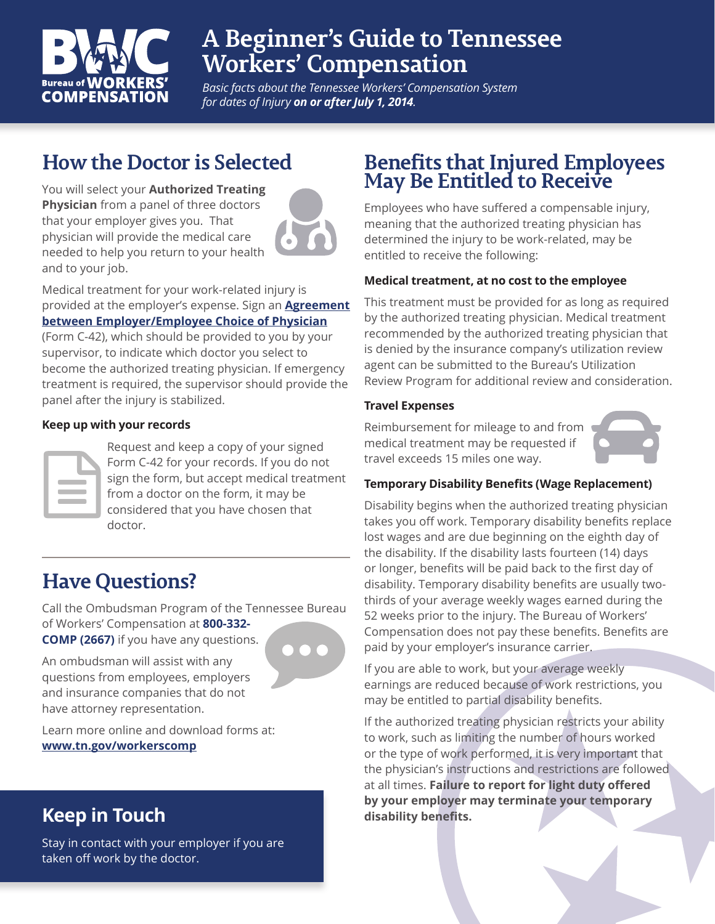

# **A Beginner's Guide to Tennessee Workers' Compensation**

*Basic facts about the Tennessee Workers' Compensation System for dates of Injury on or after July 1, 2014.*

## **How the Doctor is Selected**

You will select your **Authorized Treating Physician** from a panel of three doctors that your employer gives you. That physician will provide the medical care needed to help you return to your health and to your job.



Medical treatment for your work-related injury is provided at the employer's expense. Sign an **[Agreement](https://www.tn.gov/content/dam/tn/workforce/documents/Forms/c42.pdf)  [between Employer/Employee Choice of Physician](https://www.tn.gov/content/dam/tn/workforce/documents/Forms/c42.pdf)**

(Form C-42), which should be provided to you by your supervisor, to indicate which doctor you select to become the authorized treating physician. If emergency treatment is required, the supervisor should provide the panel after the injury is stabilized.

#### **Keep up with your records**

Request and keep a copy of your signed Form C-42 for your records. If you do not sign the form, but accept medical treatment from a doctor on the form, it may be considered that you have chosen that doctor.

## **Have Questions?**

Call the Ombudsman Program of the Tennessee Bureau of Workers' Compensation at **800-332- COMP (2667)** if you have any questions.



An ombudsman will assist with any questions from employees, employers and insurance companies that do not have attorney representation.

Learn more online and download forms at: **[www.tn.gov/workerscomp](http://www.tn.gov/workerscomp)**

### **Keep in Touch**

Stay in contact with your employer if you are taken off work by the doctor.

### **Benefits that Injured Employees May Be Entitled to Receive**

Employees who have suffered a compensable injury, meaning that the authorized treating physician has determined the injury to be work-related, may be entitled to receive the following:

### **Medical treatment, at no cost to the employee**

This treatment must be provided for as long as required by the authorized treating physician. Medical treatment recommended by the authorized treating physician that is denied by the insurance company's utilization review agent can be submitted to the Bureau's Utilization Review Program for additional review and consideration.

#### **Travel Expenses**

Reimbursement for mileage to and from medical treatment may be requested if travel exceeds 15 miles one way.



### **Temporary Disability Benefits (Wage Replacement)**

Disability begins when the authorized treating physician takes you off work. Temporary disability benefits replace lost wages and are due beginning on the eighth day of the disability. If the disability lasts fourteen (14) days or longer, benefits will be paid back to the first day of disability. Temporary disability benefits are usually twothirds of your average weekly wages earned during the 52 weeks prior to the injury. The Bureau of Workers' Compensation does not pay these benefits. Benefits are paid by your employer's insurance carrier.

If you are able to work, but your average weekly earnings are reduced because of work restrictions, you may be entitled to partial disability benefits.

If the authorized treating physician restricts your ability to work, such as limiting the number of hours worked or the type of work performed, it is very important that the physician's instructions and restrictions are followed at all times. **Failure to report for light duty offered by your employer may terminate your temporary disability benefits.**